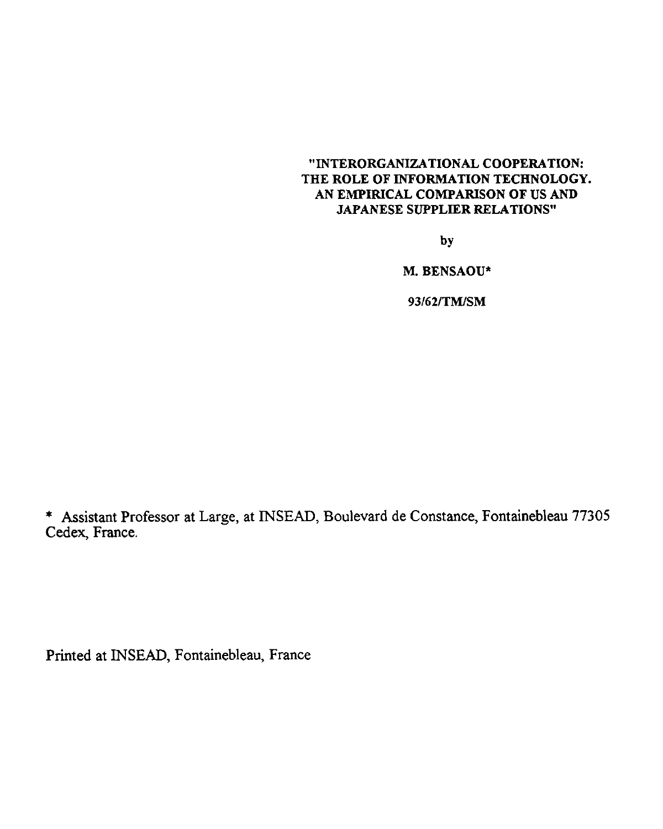#### "INTERORGANIZATIONAL COOPERATION: THE ROLE OF INFORMATION TECHNOLOGY. AN EMPIRICAL COMPARISON OF US AND JAPANESE SUPPLIER RELATIONS"

by

M. BENSAOU\*

93/62/TM/SM

\* Assistant Professor at Large, at INSEAD, Boulevard de Constance, Fontainebleau 77305 Cedex, France.

Printed at INSEAD, Fontainebleau, France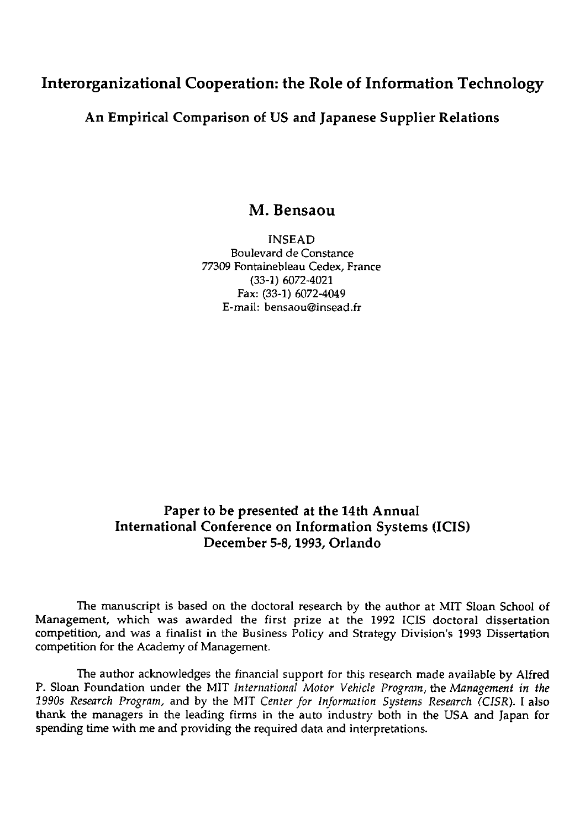## Interorganizational Cooperation: the Role of Information Technology

An Empirical Comparison of US and Japanese Supplier Relations

### M. Bensaou

INSEAD Boulevard de Constance 77309 Fontainebleau Cedex, France (33-1) 6072-4021 Fax: (33-1) 6072-4049 E-mail: bensaou@insead.fr

## Paper to be presented at the 14th Annual International Conference on Information Systems (ICIS) December 5-8, 1993, Orlando

The manuscript is based on the doctoral research by the author at MIT Sloan School of Management, which was awarded the first prize at the 1992 ICIS doctoral dissertation competition, and was a finalist in the Business Policy and Strategy Division's 1993 Dissertation competition for the Academy of Management.

The author acknowledges the financial support for this research made available by Alfred P. Sloan Foundation under the MIT *International Motor Vehicle Program,* the *Management in the 1990s Research Program,* and by the MIT *Center for Information Systems Research (CISR).* I also thank the managers in the leading firms in the auto industry both in the USA and Japan for spending time with me and providing the required data and interpretations.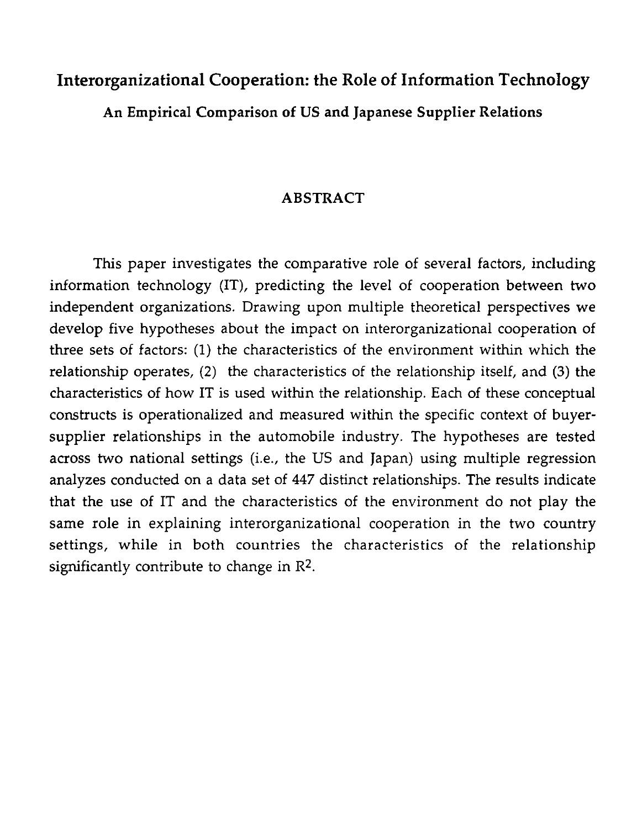## **Interorganizational Cooperation: the Role of Information Technology**

An Empirical Comparison **of** US and Japanese Supplier Relations

#### **ABSTRACT**

This paper investigates the comparative role of several factors, including information technology (IT), predicting the level of cooperation between two independent organizations. Drawing upon multiple theoretical perspectives we develop five hypotheses about the impact on interorganizational cooperation of three sets of factors: (1) the characteristics of the environment within which the relationship operates, (2) the characteristics of the relationship itself, and (3) the characteristics of how IT is used within the relationship. Each of these conceptual constructs is operationalized and measured within the specific context of buyersupplier relationships in the automobile industry. The hypotheses are tested across two national settings (i.e., the US and japan) using multiple regression analyzes conducted on a data set of 447 distinct relationships. The results indicate that the use of IT and the characteristics of the environment do not play the same role in explaining interorganizational cooperation in the two country settings, while in both countries the characteristics of the relationship significantly contribute to change in R2.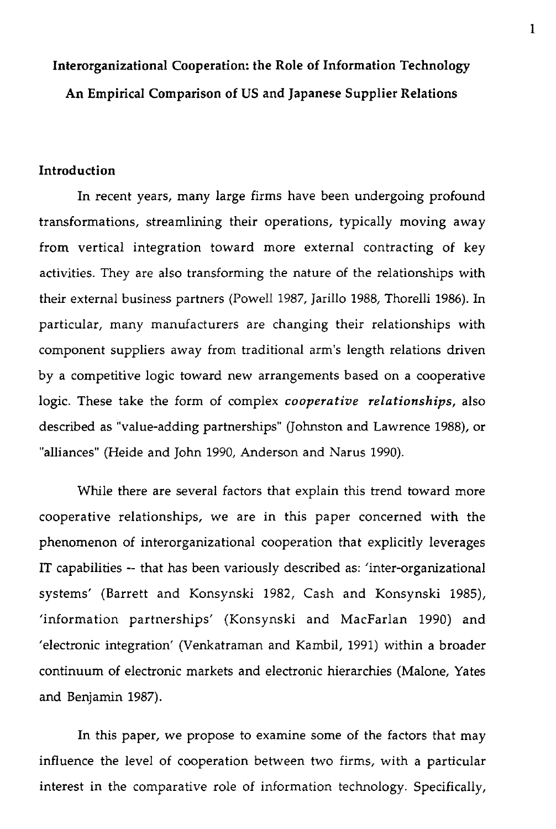# Interorganizational Cooperation: the Role of Information Technology An Empirical Comparison of US and **Japanese Supplier Relations**

#### **Introduction**

In recent years, many large firms have been undergoing profound transformations, streamlining their operations, typically moving away from vertical integration toward more external contracting of key activities. They are also transforming the nature of the relationships with their external business partners (Powell 1987, Jarillo 1988, Thorelli 1986). In particular, many manufacturers are changing their relationships with component suppliers away from traditional arm's length relations driven by a competitive logic toward new arrangements based on a cooperative logic. These take the form of complex *cooperative relationships,* also described as "value-adding partnerships" (Johnston and Lawrence 1988), or "alliances" (Heide and John 1990, Anderson and Narus 1990).

While there are several factors that explain this trend toward more cooperative relationships, we are in this paper concerned with the phenomenon of interorganizational cooperation that explicitly leverages IT capabilities -- that has been variously described as: 'inter-organizational systems' (Barrett and Konsynski 1982, Cash and Konsynski 1985), 'information partnerships' (Konsynski and MacFarlan 1990) and 'electronic integration' (Venkatraman and Kambil, 1991) within a broader continuum of electronic markets and electronic hierarchies (Malone, Yates and Benjamin 1987).

In this paper, we propose to examine some of the factors that may influence the level of cooperation between two firms, with a particular interest in the comparative role of information technology. Specifically,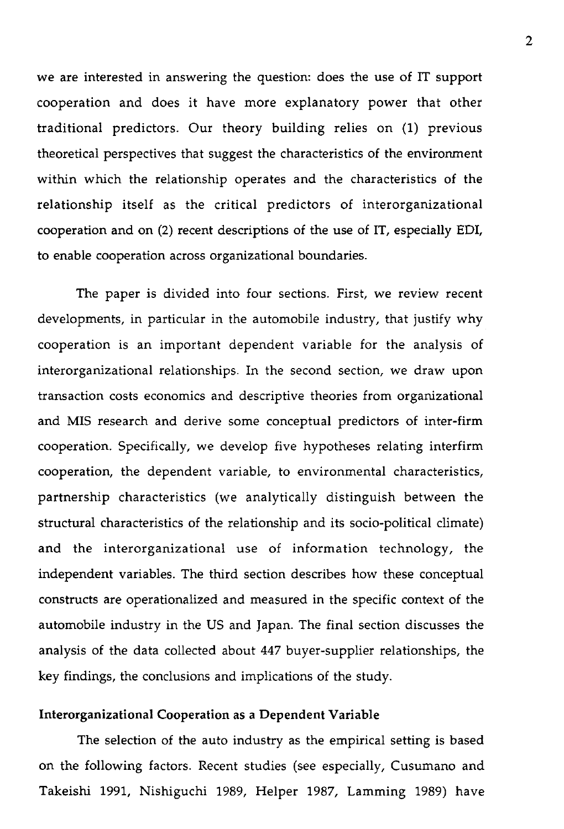we are interested in answering the question: does the use of IT support cooperation and does it have more explanatory power that other traditional predictors. Our theory building relies on (1) previous theoretical perspectives that suggest the characteristics of the environment within which the relationship operates and the characteristics of the relationship itself as the critical predictors of interorganizational cooperation and on (2) recent descriptions of the use of IT, especially EDI, to enable cooperation across organizational boundaries.

The paper is divided into four sections. First, we review recent developments, in particular in the automobile industry, that justify why cooperation is an important dependent variable for the analysis of interorganizational relationships. In the second section, we draw upon transaction costs economics and descriptive theories from organizational and MIS research and derive some conceptual predictors of inter-firm cooperation. Specifically, we develop five hypotheses relating interfirm cooperation, the dependent variable, to environmental characteristics, partnership characteristics (we analytically distinguish between the structural characteristics of the relationship and its socio-political climate) and the interorganizational use of information technology, the independent variables. The third section describes how these conceptual constructs are operationalized and measured in the specific context of the automobile industry in the US and Japan. The final section discusses the analysis of the data collected about 447 buyer-supplier relationships, the key findings, the conclusions and implications of the study.

#### Interorganizational Cooperation as a Dependent Variable

The selection of the auto industry as the empirical setting is based on the following factors. Recent studies (see especially, Cusumano and Takeishi 1991, Nishiguchi 1989, Helper 1987, Lamming 1989) have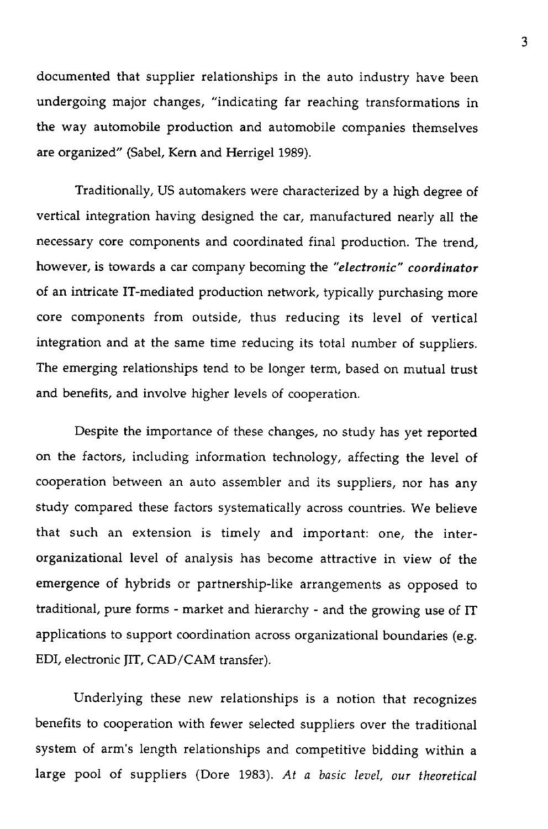documented that supplier relationships in the auto industry have been undergoing major changes, "indicating far reaching transformations in the way automobile production and automobile companies themselves are organized" (Sabel, Kern and Herrigel 1989).

Traditionally, US automakers were characterized by a high degree of vertical integration having designed the car, manufactured nearly all the necessary core components and coordinated final production. The trend, however, is towards a car company becoming the *"electronic" coordinator* of an intricate IT-mediated production network, typically purchasing more core components from outside, thus reducing its level of vertical integration and at the same time reducing its total number of suppliers. The emerging relationships tend to be longer term, based on mutual trust and benefits, and involve higher levels of cooperation.

Despite the importance of these changes, no study has yet reported on the factors, including information technology, affecting the level of cooperation between an auto assembler and its suppliers, nor has any study compared these factors systematically across countries. We believe that such an extension is timely and important: one, the interorganizational level of analysis has become attractive in view of the emergence of hybrids or partnership-like arrangements as opposed to traditional, pure forms - market and hierarchy - and the growing use of IT applications to support coordination across organizational boundaries (e.g. EDI, electronic JIT, CAD/CAM transfer).

Underlying these new relationships is a notion that recognizes benefits to cooperation with fewer selected suppliers over the traditional system of arm's length relationships and competitive bidding within a large pool of suppliers (Dore 1983). *At* a *basic level, our theoretical*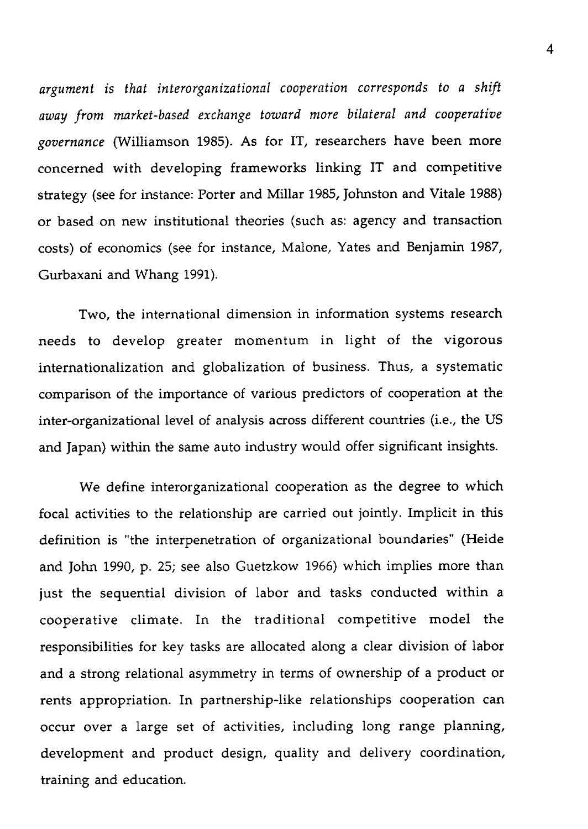*argument is that interorganizational cooperation corresponds to a shift away from market-based exchange toward more bilateral and cooperative governance* (Williamson 1985). As for IT, researchers have been more concerned with developing frameworks linking IT and competitive strategy (see for instance: Porter and Millar 1985, Johnston and Vitale 1988) or based on new institutional theories (such as: agency and transaction costs) of economics (see for instance, Malone, Yates and Benjamin 1987, Gurbaxani and Whang 1991).

Two, the international dimension in information systems research needs to develop greater momentum in light of the vigorous internationalization and globalization of business. Thus, a systematic comparison of the importance of various predictors of cooperation at the inter-organizational level of analysis across different countries (i.e., the US and Japan) within the same auto industry would offer significant insights.

We define interorganizational cooperation as the degree to which focal activities to the relationship are carried out jointly. Implicit in this definition is "the interpenetration of organizational boundaries" (Heide and John 1990, p. 25; see also Guetzkow 1966) which implies more than just the sequential division of labor and tasks conducted within a cooperative climate. In the traditional competitive model the responsibilities for key tasks are allocated along a clear division of labor and a strong relational asymmetry in terms of ownership of a product or rents appropriation. In partnership-like relationships cooperation can occur over a large set of activities, including long range planning, development and product design, quality and delivery coordination, training and education.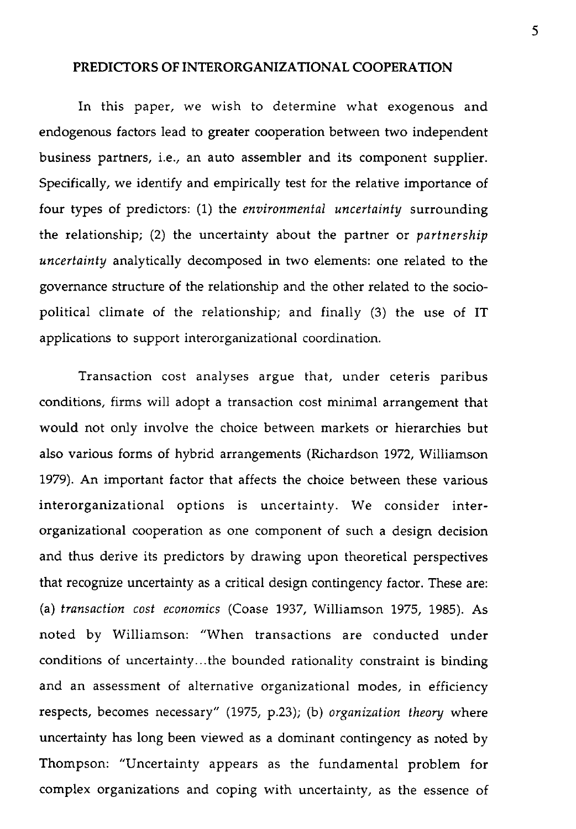#### **PREDICTORS OF INTERORGANIZATIONAL COOPERATION**

In this paper, we wish to determine what exogenous and endogenous factors lead to greater cooperation between two independent business partners, i.e., an auto assembler and its component supplier. Specifically, we identify and empirically test for the relative importance of four types of predictors: (1) the *environmental uncertainty* surrounding the relationship; (2) the uncertainty about the partner or *partnership uncertainty* analytically decomposed in two elements: one related to the governance structure of the relationship and the other related to the sociopolitical climate of the relationship; and finally (3) the use of IT applications to support interorganizational coordination.

Transaction cost analyses argue that, under ceteris paribus conditions, firms will adopt a transaction cost minimal arrangement that would not only involve the choice between markets or hierarchies but also various forms of hybrid arrangements (Richardson 1972, Williamson 1979). An important factor that affects the choice between these various interorganizational options is uncertainty. We consider interorganizational cooperation as one component of such a design decision and thus derive its predictors by drawing upon theoretical perspectives that recognize uncertainty as a critical design contingency factor. These are: (a) *transaction cost economics* (Coase 1937, Williamson 1975, 1985). As noted by Williamson: "When transactions are conducted under conditions of uncertainty...the bounded rationality constraint is binding and an assessment of alternative organizational modes, in efficiency respects, becomes necessary" (1975, p.23); (b) *organization theory* where uncertainty has long been viewed as a dominant contingency as noted by Thompson: "Uncertainty appears as the fundamental problem for complex organizations and coping with uncertainty, as the essence of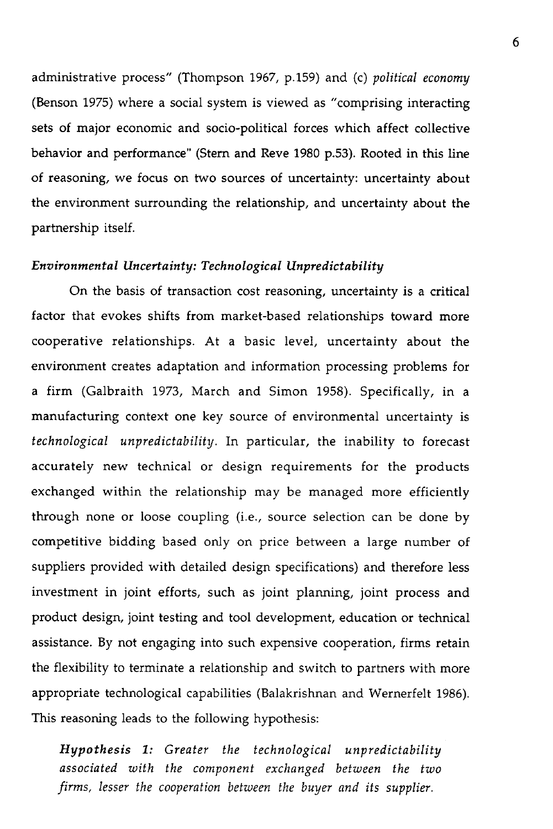administrative process" (Thompson 1967, p.159) and (c) *political economy* (Benson 1975) where a social system is viewed as "comprising interacting sets of major economic and socio-political forces which affect collective behavior and performance" (Stem and Reve 1980 p.53). Rooted in this line of reasoning, we focus on two sources of uncertainty: uncertainty about the environment surrounding the relationship, and uncertainty about the partnership itself.

#### *Environmental Uncertainty: Technological Unpredictability*

On the basis of transaction cost reasoning, uncertainty is a critical factor that evokes shifts from market-based relationships toward more cooperative relationships. At a basic level, uncertainty about the environment creates adaptation and information processing problems for a firm (Galbraith 1973, March and Simon 1958). Specifically, in a manufacturing context one key source of environmental uncertainty is *technological unpredictability.* In particular, the inability to forecast accurately new technical or design requirements for the products exchanged within the relationship may be managed more efficiently through none or loose coupling (i.e., source selection can be done by competitive bidding based only on price between a large number of suppliers provided with detailed design specifications) and therefore less investment in joint efforts, such as joint planning, joint process and product design, joint testing and tool development, education or technical assistance. By not engaging into such expensive cooperation, firms retain the flexibility to terminate a relationship and switch to partners with more appropriate technological capabilities (Balakrishnan and Wernerfelt 1986). This reasoning leads to the following hypothesis:

*Hypothesis* 1: *Greater the technological unpredictability associated with the component exchanged between the two firms, lesser the cooperation between the buyer and ifs supplier.*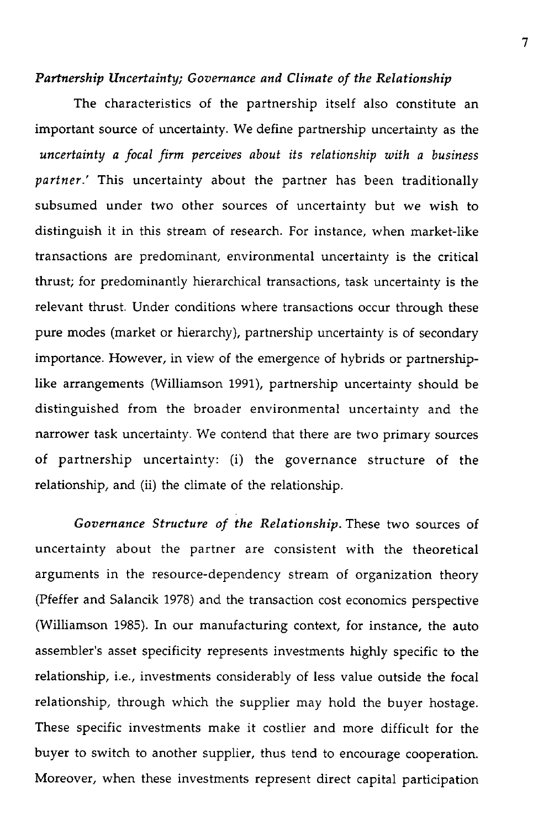#### *Partnership Uncertainty; Governance and Clirnate of the Relationship*

The characteristics of the partnership itself also constitute an important source of uncertainty. We define partnership uncertainty as the *uncertainty a focal firm perceives about its relationship with a business partner.'* This uncertainty about the partner has been traditionally subsumed under two other sources of uncertainty but we wish to distinguish it in this stream of research. For instance, when market-like transactions are predominant, environmental uncertainty is the critical thrust; for predominantly hierarchical transactions, task uncertainty is the relevant thrust. Under conditions where transactions occur through these pure modes (market or hierarchy), partnership uncertainty is of secondary importance. However, in view of the emergence of hybrids or partnershiplike arrangements (Williamson 1991), partnership uncertainty should be distinguished from the broader environmental uncertainty and the narrower task uncertainty. We contend that there are two primary sources of partnership uncertainty: (i) the governance structure of the relationship, and (ii) the climate of the relationship.

*Governance Structure of the Relationship.* These two sources of uncertainty about the partner are consistent with the theoretical arguments in the resource-dependency stream of organization theory (Pfeffer and Salancik 1978) and the transaction cost economics perspective (Williamson 1985). In our manufacturing context, for instance, the auto assembler's asset specificity represents investments highly specific to the relationship, i.e., investments considerably of less value outside the focal relationship, through which the supplier may hold the buyer hostage. These specific investments make it costlier and more difficult for the buyer to switch to another supplier, thus tend to encourage cooperation. Moreover, when these investments represent direct capital participation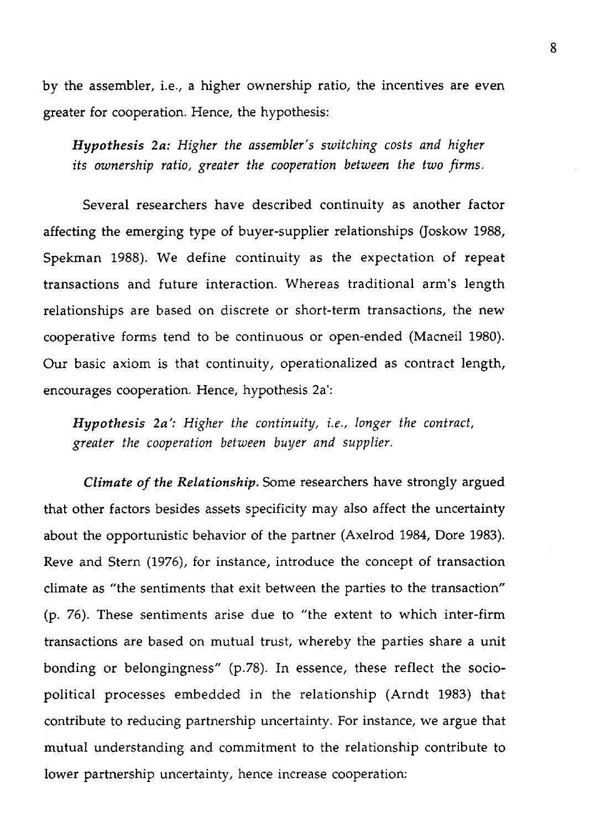by the assembler, i.e., a higher ownership ratio, the incentives are even greater for cooperation. Hence, the hypothesis:

*Hypothesis 2a: Higher the assembler's switching costs and higher its ownership ratio, greater the cooperation between the two firms.* 

Several researchers have described continuity as another factor affecting the emerging type of buyer-supplier relationships (Joskow 1988, Spekman 1988). We define continuity as the expectation of repeat transactions and future interaction. Whereas traditional arm's length relationships are based on discrete or short-term transactions, the new cooperative forms tend to be continuous or open-ended (Macneil 1980). Our basic axiom is that continuity, operationalized as contract length, encourages cooperation. Hence, hypothesis 2a':

*Hypothesis 2a': Higher the continuity, i.e., longer the contract, greater the cooperation between buyer and supplier.*

*Climate of the Relationship.* Some researchers have strongly argued that other factors besides assets specificity may also affect the uncertainty about the opportunistic behavior of the partner (Axelrod 1984, Dore 1983). Reve and Stern (1976), for instance, introduce the concept of transaction climate as "the sentiments that exit between the parties to the transaction" (p. 76). These sentiments arise due to "the extent to which inter-firm transactions are based on mutual trust, whereby the parties share a unit bonding or belongingness" (p.78). In essence, these reflect the sociopolitical processes embedded in the relationship (Arndt 1983) that contribute to reducing partnership uncertainty. For instance, we argue that mutual understanding and commitment to the relationship contribute to lower partnership uncertainty, hence increase cooperation: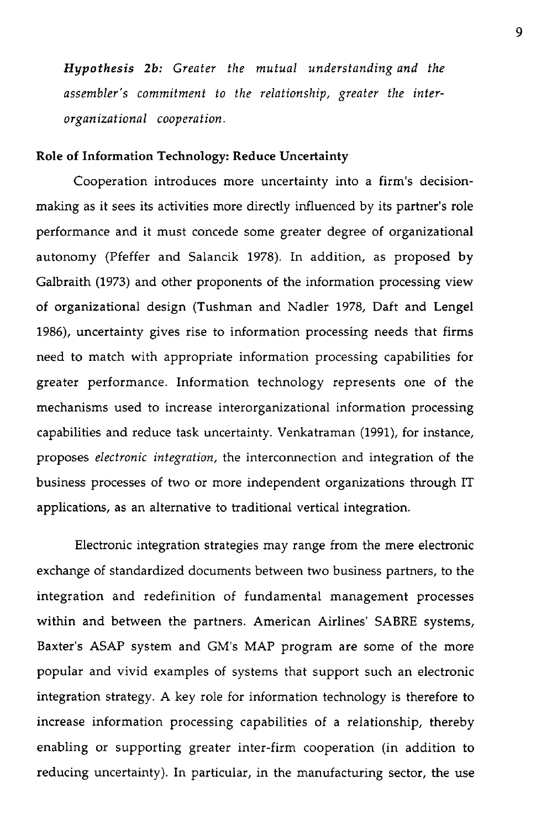*Hypothesis 2b: Greater the mutual understanding and the assembler's commitment to the relationship, greater the interorganizational cooperation.*

#### **Role of** Information Technology: Reduce Uncertainty

Cooperation introduces more uncertainty into a firm's decisionmaking as it sees its activities more directly influenced by its partner's role performance and it must concede some greater degree of organizational autonomy (Pfeffer and Salancik 1978). In addition, as proposed by Galbraith (1973) and other proponents of the information processing view of organizational design (Tushman and Nadler 1978, Daft and Lengel 1986), uncertainty gives rise to information processing needs that firms need to match with appropriate information processing capabilities for greater performance. Information technology represents one of the mechanisms used to increase interorganizational information processing capabilities and reduce task uncertainty. Venkatraman (1991), for instance, proposes *electronic integration,* the interconnection and integration of the business processes of two or more independent organizations through IT applications, as an alternative to traditional vertical integration.

Electronic integration strategies may range from the mere electronic exchange of standardized documents between two business partners, to the integration and redefinition of fundamental management processes within and between the partners. American Airlines' SABRE systems, Baxter's ASAP system and GM's MAP program are some of the more popular and vivid examples of systems that support such an electronic integration strategy. A key role for information technology is therefore to increase information processing capabilities of a relationship, thereby enabling or supporting greater inter-firm cooperation (in addition to reducing uncertainty). In particular, in the manufacturing sector, the use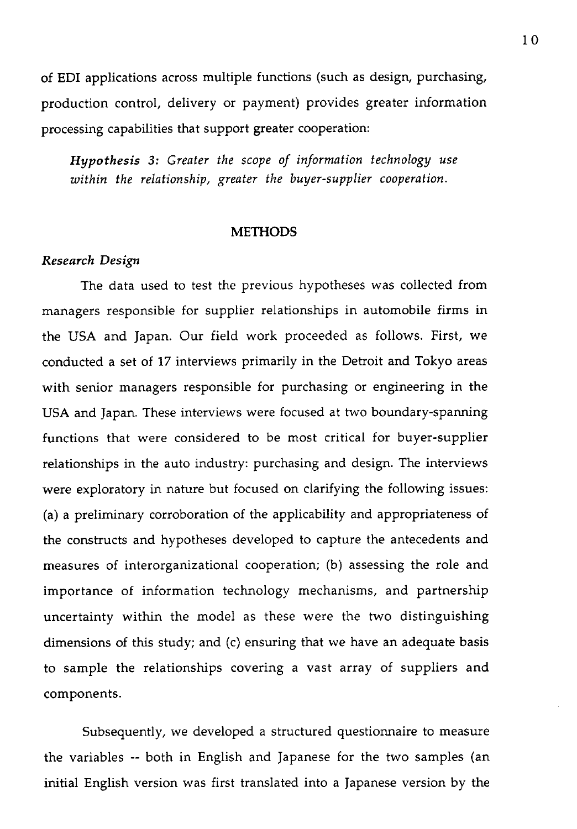of EDI applications across multiple functions (such as design, purchasing, production control, delivery or payment) provides greater information processing capabilities that support greater cooperation:

*Hypothesis 3: Greater the scope of information technology use within the relationship, greater the buyer-supplier cooperation.*

#### **METHODS**

#### *Research Design*

The data used to test the previous hypotheses was collected from managers responsible for supplier relationships in automobile firms in the USA and Japan. Our field work proceeded as follows. First, we conducted a set of 17 interviews primarily in the Detroit and Tokyo areas with senior managers responsible for purchasing or engineering in the USA and Japan. These interviews were focused at two boundary-spanning functions that were considered to be most critical for buyer-supplier relationships in the auto industry: purchasing and design. The interviews were exploratory in nature but focused on clarifying the following issues: (a) a preliminary corroboration of the applicability and appropriateness of the constructs and hypotheses developed to capture the antecedents and measures of interorganizational cooperation; (b) assessing the role and importance of information technology mechanisms, and partnership uncertainty within the model as these were the two distinguishing dimensions of this study; and (c) ensuring that we have an adequate basis to sample the relationships covering a vast array of suppliers and components.

Subsequently, we developed a structured questionnaire to measure the variables -- both in English and Japanese for the two samples (an initial English version was first translated into a Japanese version by the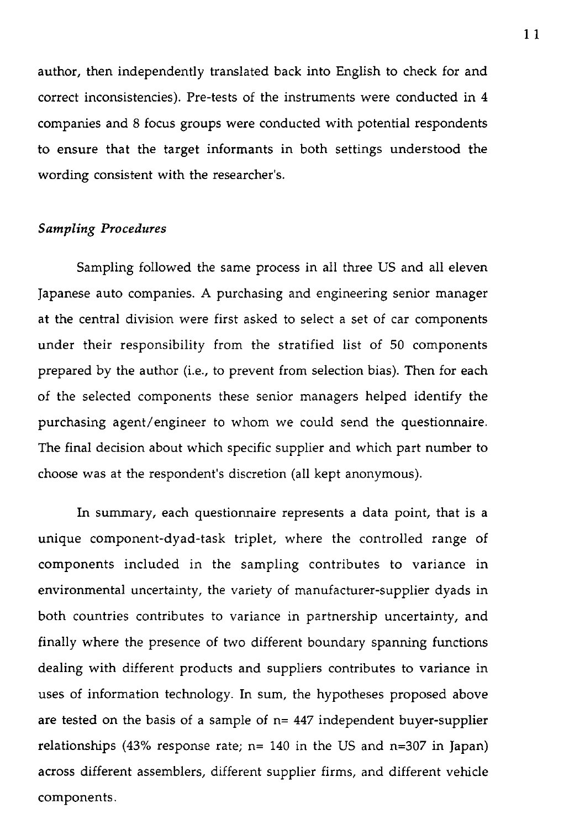author, then independently translated back into English to check for and correct inconsistencies). Pre-tests of the instruments were conducted in 4 companies and 8 focus groups were conducted with potential respondents to ensure that the target informants in both settings understood the wording consistent with the researcher's.

#### *Sampling Procedures*

Sampling followed the same process in all three US and all eleven Japanese auto companies. A purchasing and engineering senior manager at the central division were first asked to select a set of car components under their responsibility from the stratified list of 50 components prepared by the author (i.e., to prevent from selection bias). Then for each of the selected components these senior managers helped identify the purchasing agent/engineer to whom we could send the questionnaire. The final decision about which specific supplier and which part number to choose was at the respondent's discretion (all kept anonymous).

In summary, each questionnaire represents a data point, that is a unique component-dyad-task triplet, where the controlled range of components included in the sampling contributes to variance in environmental uncertainty, the variety of manufacturer-supplier dyads in both countries contributes to variance in partnership uncertainty, and finally where the presence of two different boundary spanning functions dealing with different products and suppliers contributes to variance in uses of information technology. In sum, the hypotheses proposed above are tested on the basis of a sample of  $n= 447$  independent buyer-supplier relationships (43% response rate;  $n=140$  in the US and  $n=307$  in Japan) across different assemblers, different supplier firms, and different vehicle components.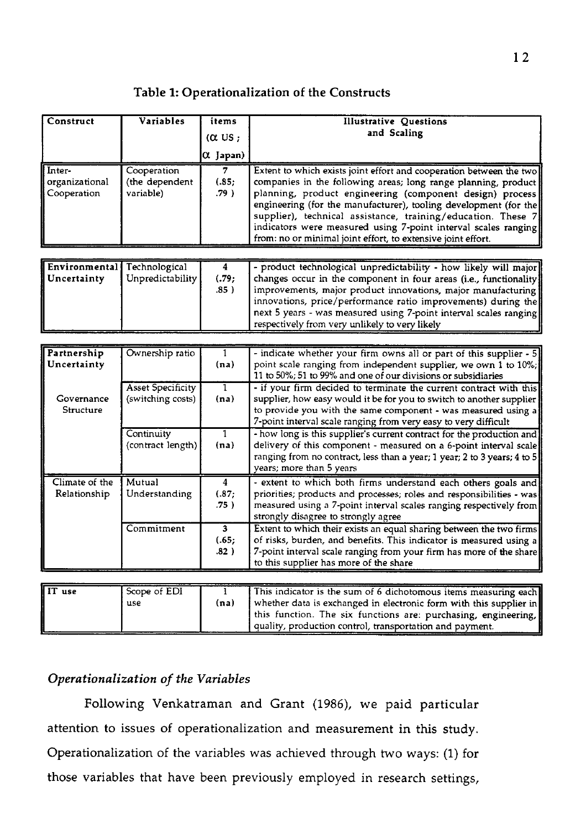## Table **1:** Operationalization of the Constructs

| Construct                               | Variables                                  | items<br>$(\alpha$ US :<br>$\alpha$ Japan) | <b>Illustrative Questions</b><br>and Scaling                                                                                                                                                                                                                                                                                                                                                                                                                            |
|-----------------------------------------|--------------------------------------------|--------------------------------------------|-------------------------------------------------------------------------------------------------------------------------------------------------------------------------------------------------------------------------------------------------------------------------------------------------------------------------------------------------------------------------------------------------------------------------------------------------------------------------|
| Inter-<br>organizational<br>Cooperation | Cooperation<br>(the dependent<br>variable) | (.85)<br>$.79$ )                           | Extent to which exists joint effort and cooperation between the two<br>companies in the following areas; long range planning, product<br>planning, product engineering (component design) process<br>engineering (for the manufacturer), tooling development (for the<br>supplier), technical assistance, training/education. These 7<br>indicators were measured using 7-point interval scales ranging<br>from: no or minimal joint effort, to extensive joint effort. |

| Environmental Technological<br><b>il</b> Uncertainty | Unpredictability [ | (.79:<br>$.85$ ) | - product technological unpredictability - how likely will major<br>changes occur in the component in four areas (i.e., functionality)<br>improvements, major product innovations, major manufacturing<br>innovations, price/performance ratio improvements) during the<br>next 5 years - was measured using 7-point interval scales ranging |
|------------------------------------------------------|--------------------|------------------|----------------------------------------------------------------------------------------------------------------------------------------------------------------------------------------------------------------------------------------------------------------------------------------------------------------------------------------------|
|                                                      |                    |                  | respectively from very unlikely to very likely                                                                                                                                                                                                                                                                                               |

| Partnership      | Ownership ratio          |                | - indicate whether your firm owns all or part of this supplier - 5       |
|------------------|--------------------------|----------------|--------------------------------------------------------------------------|
| Uncertainty      |                          | (na)           | point scale ranging from independent supplier, we own 1 to 10%;          |
|                  |                          |                | 11 to 50%; 51 to 99% and one of our divisions or subsidiaries            |
|                  | <b>Asset Specificity</b> | 1              | - if your firm decided to terminate the current contract with this       |
| Governance       | (switching costs)        | (na)           | supplier, how easy would it be for you to switch to another supplier     |
| <b>Structure</b> |                          |                | to provide you with the same component - was measured using a            |
|                  |                          |                | 7-point interval scale ranging from very easy to very difficult          |
|                  | Continuity               |                | - how long is this supplier's current contract for the production and    |
|                  | (contract length)        | (na)           | delivery of this component - measured on a 6-point interval scale        |
|                  |                          |                | ranging from no contract, less than a year; 1 year; 2 to 3 years; 4 to 5 |
|                  |                          |                | years; more than 5 years                                                 |
| Climate of the   | Mutual                   | 4              | - extent to which both firms understand each others goals and            |
| Relationship     | Understanding            | (.87;          | priorities; products and processes; roles and responsibilities - was     |
|                  |                          | .75)           | measured using a 7-point interval scales ranging respectively from       |
|                  |                          |                | strongly disagree to strongly agree                                      |
|                  | Commitment               | 3 <sup>1</sup> | Extent to which their exists an equal sharing between the two firms      |
|                  |                          | (.65;          | of risks, burden, and benefits. This indicator is measured using a       |
|                  |                          | .82)           | 7-point interval scale ranging from your firm has more of the share      |
|                  |                          |                | to this supplier has more of the share                                   |
|                  |                          |                |                                                                          |
| IT use           | Scope of EDI             |                | This indicator is the sum of 6 dichotomous items measuring each          |
|                  | use                      | (na)           | whether data is exchanged in electronic form with this supplier in       |

this function. The six functions are: purchasing, engineering,

quality, production control, transportation and payment.

## *Operationalization* of *the Variables*

Following Venkatraman and Grant (1986), we paid particular attention to issues of operationalization and measurement in this study. Operationalization of the variables was achieved through two ways: (1) for those variables that have been previously employed in research settings,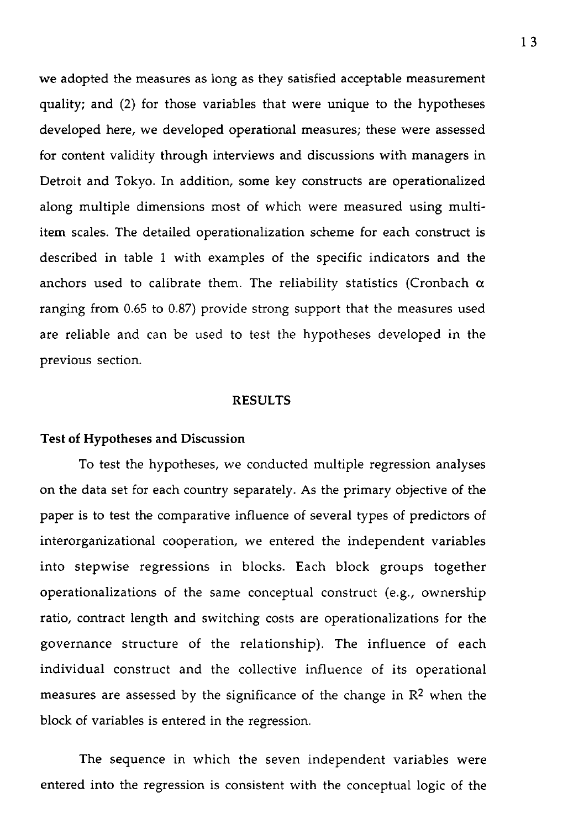we adopted the measures as long as they satisfied acceptable measurement quality; and (2) for those variables that were unique to the hypotheses developed here, we developed operational measures; these were assessed for content validity through interviews and discussions with managers in Detroit and Tokyo. In addition, some key constructs are operationalized along multiple dimensions most of which were measured using multiitem scales. The detailed operationalization scheme for each construct is described in table 1 with examples of the specific indicators and the anchors used to calibrate them. The reliability statistics (Cronbach  $\alpha$ ranging from 0.65 to 0.87) provide strong support that the measures used are reliable and can be used to test the hypotheses developed in the previous section.

#### RESULTS

#### **Test of** Hypotheses and Discussion

To test the hypotheses, we conducted multiple regression analyses on the data set for each country separately. As the primary objective of the paper is to test the comparative influence of several types of predictors of interorganizational cooperation, we entered the independent variables into stepwise regressions in blocks. Each block groups together operationalizations of the same conceptual construct (e.g., ownership ratio, contract length and switching costs are operationalizations for the governance structure of the relationship). The influence of each individual construct and the collective influence of its operational measures are assessed by the significance of the change in  $\mathbb{R}^2$  when the block of variables is entered in the regression.

The sequence in which the seven independent variables were entered into the regression is consistent with the conceptual logic of the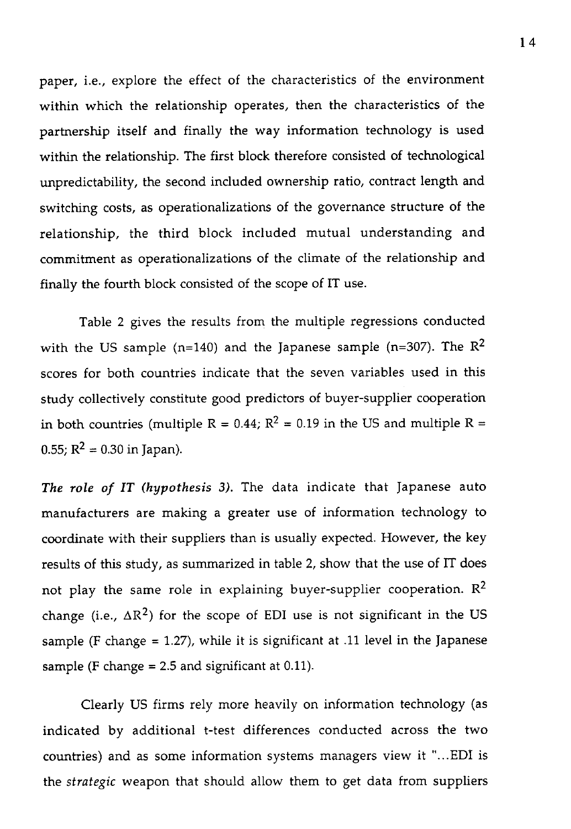paper, i.e., explore the effect of the characteristics of the environment within which the relationship operates, then the characteristics of the partnership itself and finally the way information technology is used within the relationship. The first block therefore consisted of technological unpredictability, the second included ownership ratio, contract length and switching costs, as operationalizations of the governance structure of the relationship, the third block included mutual understanding and commitment as operationalizations of the climate of the relationship and finally the fourth block consisted of the scope of IT use.

Table 2 gives the results from the multiple regressions conducted with the US sample (n=140) and the Japanese sample (n=307). The  $\mathbb{R}^2$ scores for both countries indicate that the seven variables used in this study collectively constitute good predictors of buyer-supplier cooperation in both countries (multiple R =  $0.44$ ; R<sup>2</sup> = 0.19 in the US and multiple R = 0.55;  $R^2 = 0.30$  in Japan).

*The role of IT (hypothesis 3).* The data indicate that Japanese auto manufacturers are making a greater use of information technology to coordinate with their suppliers than is usually expected. However, the key results of this study, as summarized in table 2, show that the use of IT does not play the same role in explaining buyer-supplier cooperation.  $\mathbb{R}^2$ change (i.e.,  $\Delta R^2$ ) for the scope of EDI use is not significant in the US sample (F change  $= 1.27$ ), while it is significant at .11 level in the Japanese sample (F change  $= 2.5$  and significant at 0.11).

Clearly US firms rely more heavily on information technology (as indicated by additional t-test differences conducted across the two countries) and as some information systems managers view it "...EDI is the *strategic* weapon that should allow them to get data from suppliers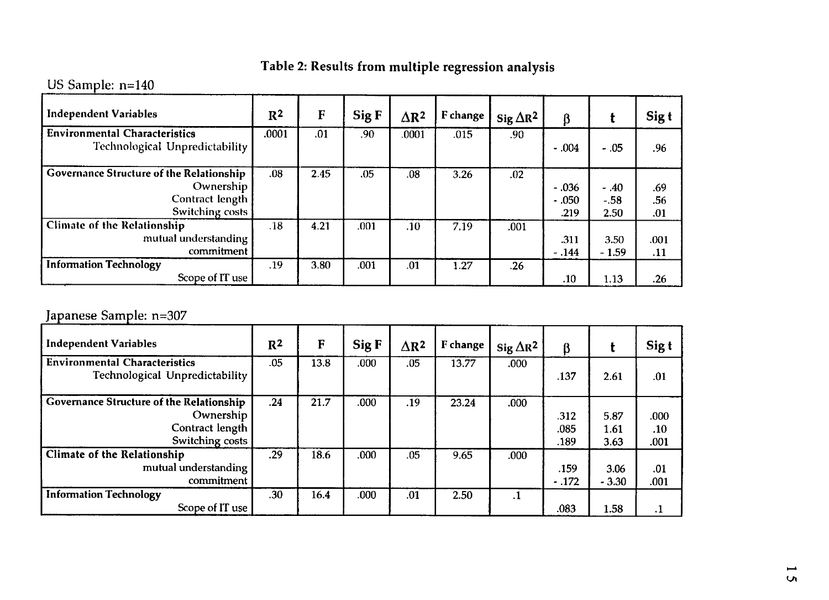# Table 2: Results from multiple regression analysis

## US Sample: n=140

| <b>Independent Variables</b>                                                                       | $R^2$ | F    | Sig F | $\Delta$ R <sup>2</sup> | F change | Sig $\Delta R^2$ | ß                          |                          | Sig t             |
|----------------------------------------------------------------------------------------------------|-------|------|-------|-------------------------|----------|------------------|----------------------------|--------------------------|-------------------|
| <b>Environmental Characteristics</b><br>Technological Unpredictability                             | .0001 | .01  | .90   | .0001                   | .015     | .90              | $-.004$                    | $-.05$                   | .96               |
| <b>Governance Structure of the Relationship</b><br>Ownership<br>Contract length<br>Switching costs | .08   | 2.45 | .05   | .08                     | 3.26     | .02              | $-.036$<br>$-.050$<br>.219 | $-.40$<br>$-.58$<br>2.50 | .69<br>.56<br>.01 |
| <b>Climate of the Relationship</b><br>mutual understanding<br>commitment                           | .18   | 4.21 | .001  | .10                     | 7.19     | .001             | .311<br>$-.144$            | 3.50<br>$-1.59$          | .001<br>.11       |
| <b>Information Technology</b><br>Scope of IT use                                                   | .19   | 3.80 | .001  | .01                     | 1.27     | .26              | .10                        | 1.13                     | .26               |

# Japanese Sample: n=307

| <b>Independent Variables</b>                                                                | R <sup>2</sup> | F    | Sig F | $\Delta$ R <sup>2</sup> | F change | Sig $\Delta R^2$ | β                    |                      | Sig t               |
|---------------------------------------------------------------------------------------------|----------------|------|-------|-------------------------|----------|------------------|----------------------|----------------------|---------------------|
| <b>Environmental Characteristics</b><br>Technological Unpredictability                      | .05            | 13.8 | .000  | .05                     | 13.77    | .000             | .137                 | 2.61                 | .01                 |
| Governance Structure of the Relationship<br>Ownership<br>Contract length<br>Switching costs | .24            | 21.7 | .000  | .19                     | 23.24    | .000             | .312<br>.085<br>.189 | 5.87<br>1.61<br>3.63 | .000<br>.10<br>.001 |
| <b>Climate of the Relationship</b><br>mutual understanding<br>commitment                    | .29            | 18.6 | .000  | .05                     | 9.65     | .000             | .159<br>$-172$       | 3.06<br>$-3.30$      | .01<br>.001         |
| <b>Information Technology</b><br>Scope of IT use                                            | .30            | 16.4 | .000  | .01                     | 2.50     |                  | .083                 | 1.58                 |                     |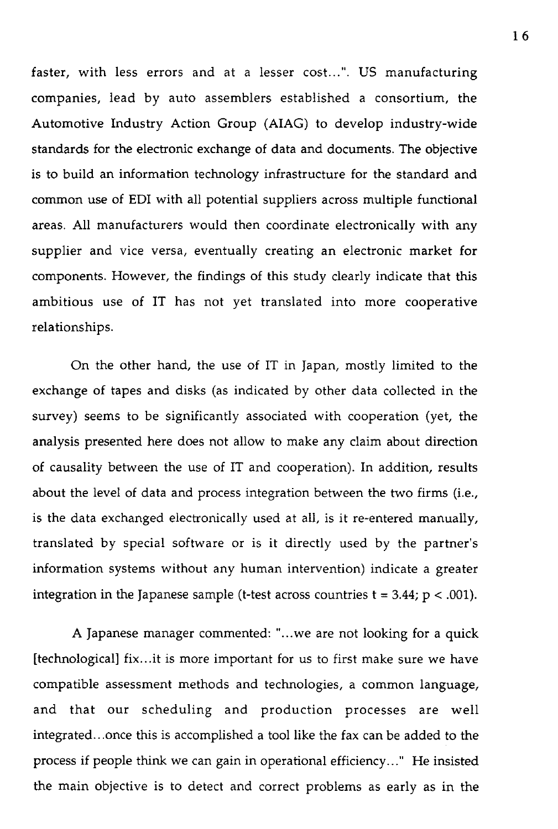faster, with less errors and at a lesser cost...''. US manufacturing companies, lead by auto assemblers established a consortium, the Automotive Industry Action Group (AIAG) to develop industry-wide standards for the electronic exchange of data and documents. The objective is to build an information technology infrastructure for the standard and common use of EDI with all potential suppliers across multiple functional areas. All manufacturers would then coordinate electronically with any supplier and vice versa, eventually creating an electronic market for components. However, the findings of this study clearly indicate that this ambitious use of IT has not yet translated into more cooperative relationships.

On the other hand, the use of IT in Japan, mostly limited to the exchange of tapes and disks (as indicated by other data collected in the survey) seems to be significantly associated with cooperation (yet, the analysis presented here does not allow to make any claim about direction of causality between the use of IT and cooperation). In addition, results about the level of data and process integration between the two firms (i.e., is the data exchanged electronically used at all, is it re-entered manually, translated by special software or is it directly used by the partner's information systems without any human intervention) indicate a greater integration in the Japanese sample (t-test across countries  $t = 3.44$ ;  $p < .001$ ).

A Japanese manager commented: "...we are not looking for a quick [technological] fix...it is more important for us to first make sure we have compatible assessment methods and technologies, a common language, and that our scheduling and production processes are well integrated...once this is accomplished a tool like the fax can be added to the process if people think we can gain in operational efficiency..." He insisted the main objective is to detect and correct problems as early as in the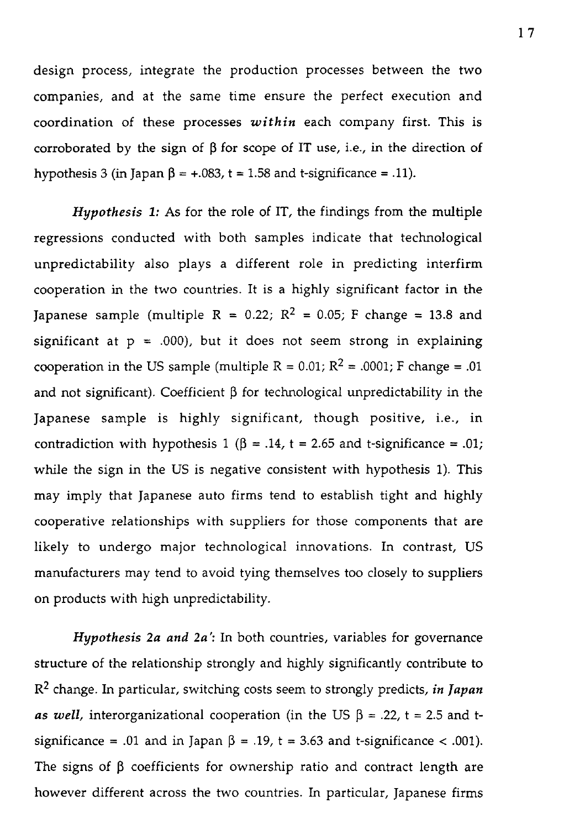design process, integrate the production processes between the two companies, and at the same time ensure the perfect execution and coordination of these processes *within* each company first. This is corroborated by the sign of  $\beta$  for scope of IT use, i.e., in the direction of hypothesis 3 (in Japan  $\beta$  = +.083, t = 1.58 and t-significance = .11).

*Hypothesis 1:* As for the role of IT, the findings from the multiple regressions conducted with both samples indicate that technological unpredictability also plays a different role in predicting interfirm cooperation in the two countries. It is a highly significant factor in the Japanese sample (multiple R = 0.22;  $R^2$  = 0.05; F change = 13.8 and significant at  $p = .000$ , but it does not seem strong in explaining cooperation in the US sample (multiple  $R = 0.01$ ;  $R^2 = .0001$ ; F change = .01 and not significant). Coefficient  $\beta$  for technological unpredictability in the Japanese sample is highly significant, though positive, i.e., in contradiction with hypothesis 1 ( $\beta$  = .14, t = 2.65 and t-significance = .01; while the sign in the US is negative consistent with hypothesis 1). This may imply that Japanese auto firms tend to establish tight and highly cooperative relationships with suppliers for those components that are likely to undergo major technological innovations. In contrast, US manufacturers may tend to avoid tying themselves too closely to suppliers on products with high unpredictability.

*Hypothesis 2a and 2a':* In both countries, variables for governance structure of the relationship strongly and highly significantly contribute to R2 change. In particular, switching costs seem to strongly predicts, *in Japan as well,* interorganizational cooperation (in the US  $\beta$  = .22, t = 2.5 and tsignificance = .01 and in Japan  $\beta$  = .19, t = 3.63 and t-significance < .001). The signs of  $\beta$  coefficients for ownership ratio and contract length are however different across the two countries. In particular, Japanese firms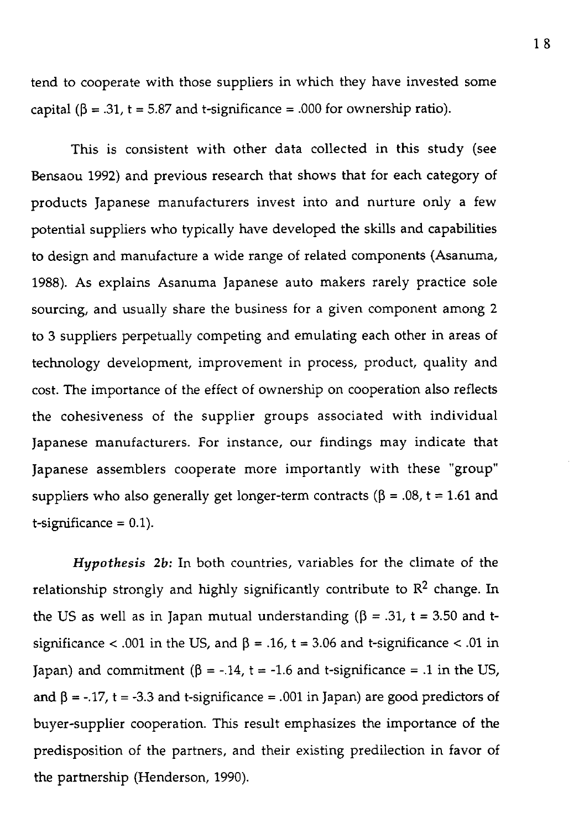tend to cooperate with those suppliers in which they have invested some capital ( $\beta$  = .31, t = 5.87 and t-significance = .000 for ownership ratio).

This is consistent with other data collected in this study **(see** Bensaou 1992) and previous research that shows that for each category of products Japanese manufacturers invest into and nurture only a few potential suppliers who typically have developed the skills and capabilities to design and manufacture a wide range of related components (Asanuma, 1988). As explains Asanuma Japanese auto makers rarely practice sole sourcing, and usually share the business for a given component among 2 to 3 suppliers perpetually competing and emulating each other in areas of technology development, improvement in process, product, quality and cost. The importance of the effect of ownership on cooperation also reflects the cohesiveness of the supplier groups associated with individual Japanese manufacturers. For instance, our findings may indicate that Japanese assemblers cooperate more importantly with these "group" suppliers who also generally get longer-term contracts ( $\beta$  = .08, t = 1.61 and  $t$ -significance = 0.1).

*Hypothesis 2b:* In both countries, variables for the climate of the relationship strongly and highly significantly contribute to  $\mathbb{R}^2$  change. In the US as well as in Japan mutual understanding ( $\beta$  = .31, t = 3.50 and tsignificance < .001 in the US, and  $\beta$  = .16, t = 3.06 and t-significance < .01 in Japan) and commitment ( $\beta$  = -.14, t = -1.6 and t-significance = .1 in the US, and  $\beta$  = -.17, t = -3.3 and t-significance = .001 in Japan) are good predictors of buyer-supplier cooperation. This result emphasizes the importance of the predisposition of the partners, and their existing predilection in favor of the partnership (Henderson, 1990).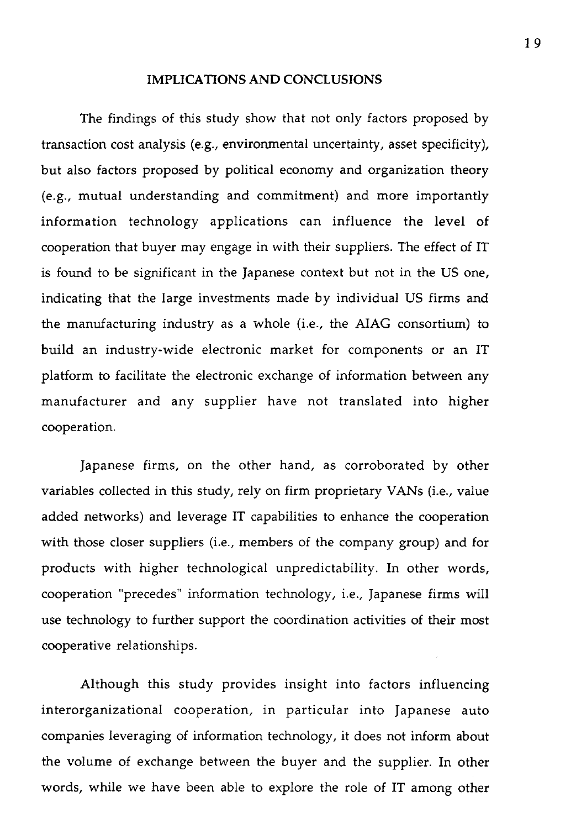#### **IMPLICATIONS AND CONCLUSIONS**

The findings of this study show that not only factors proposed by transaction cost analysis (e.g., environmental uncertainty, asset specificity), but also factors proposed by political economy and organization theory (e.g., mutual understanding and commitment) and more importantly information technology applications can influence the level of cooperation that buyer may engage in with their suppliers. The effect of IT is found to be significant in the Japanese context but not in the US one, indicating that the large investments made by individual US firms and the manufacturing industry as a whole (i.e., the AIAG consortium) to build an industry-wide electronic market for components or an IT platform to facilitate the electronic exchange of information between any manufacturer and any supplier have not translated into higher cooperation.

Japanese firms, on the other hand, as corroborated by other variables collected in this study, rely on firm proprietary VANs (i.e., value added networks) and leverage IT capabilities to enhance the cooperation with those doser suppliers (i.e., members of the company group) and for products with higher technological unpredictability. In other words, cooperation "precedes" information technology, i.e., Japanese firms will use technology to further support the coordination activities of their most cooperative relationships.

Although this study provides insight into factors influencing interorganizational cooperation, in particular into Japanese auto companies leveraging of information technology, it does not inform about the volume of exchange between the buyer and the supplier. In other words, while we have been able to explore the role of IT among other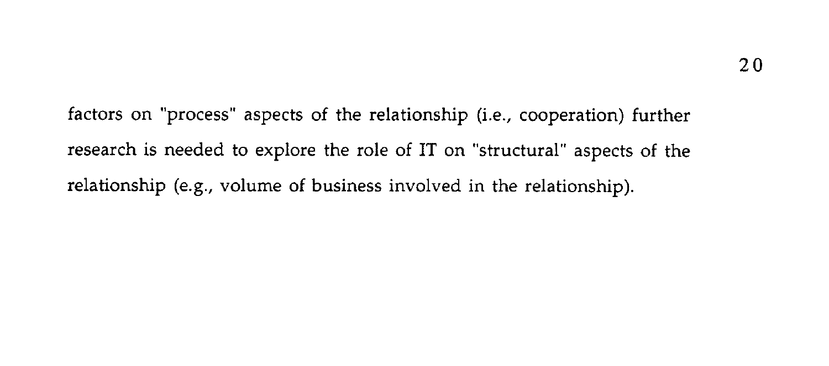factors on "process" aspects of the relationship (i.e., cooperation) further research is needed to explore the role of IT on "structural" aspects of the relationship (e.g., volume of business involved in the relationship).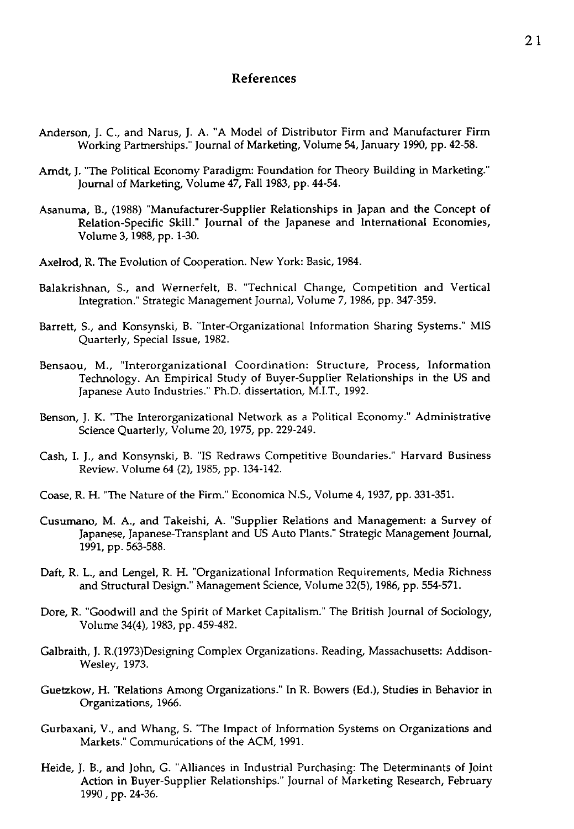#### **References**

- Anderson, J. C., and Narus, J. A. "A Model of Distributor Firm and Manufacturer Firm Working Partnerships." Journal of Marketing, Volume 54, January 1990, pp. 42-58.
- Amdt, J. "The Political Economy Paradigm: Foundation for Theory Building in Marketing." Journal of Marketing, Volume 47, Fall 1983, pp. 44-54.
- Asanuma, B., (1988) "Manufacturer-Supplier Relationships in Japan and the Concept of Relation-Specific Skill." Journal of the Japanese and International Economies, Volume 3, 1988, pp. 1-30.
- Axelrod, R. The Evolution of Cooperation. New York: Basic, 1984.
- Balakrishnan, S., and Wernerfelt, B. "Technical Change, Competition and Vertical Integration." Strategic Management Journal, Volume 7, 1986, pp. 347-359.
- Barrett, S., and Konsynski, B. "Inter-Organizational Information Sharing Systems." MIS Quarterly, Special Issue, 1982.
- Bensaou, M., "Interorganizational Coordination: Structure, Process, Information Technology. An Empirical Study of Buyer-Supplier Relationships in the US and Japanese Auto Industries." Ph.D. dissertation, M.I.T., 1992.
- Benson, J. K. "The Interorganizational Network as a Political Economy." Administrative Science Quarterly, Volume 20, 1975, pp. 229-249.
- Cash, I. J., and Konsynski, B. "IS Redraws Competitive Boundaries." Harvard Business Review. Volume 64 (2), 1985, pp. 134-142.
- Coase, R. H. "The Nature of the Firm." Economica N.S., Volume 4, 1937, pp. 331-351.
- Cusumano, M. A., and Takeishi, A. "Supplier Relations and Management: a Survey of Japanese, Japanese-Transplant and US Auto Plants." Strategic Management Journal, 1991, pp. 563-588.
- Daft, R. L., and Lengel, R. H. "Organizational Information Requirements, Media Richness and Structural Design." Management Science, Volume 32(5), 1986, pp. 554-571.
- Dore, R. "Goodwill and the Spirit of Market Capitalism." The British Journal of Sociology, Volume 34(4), 1983, pp. 459-482.
- Galbraith, J. R.(1973)Designing Complex Organizations. Reading, Massachusetts: Addison-Wesley, 1973.
- Guetzkow, H. "Relations Among Organizations." In R. Bowers (Ed.), Studies in Behavior in Organizations, 1966.
- Gurbaxani, V., and Whang, S. "The Impact of Information Systems on Organizations and Markets." Communications of the ACM, 1991.
- Heide, J. B., and John, G. "Alliances in Industrial Purchasing: The Determinants of Joint Action in Buyer-Supplier Relationships." Journal of Marketing Research, February 1990 , pp. 24-36.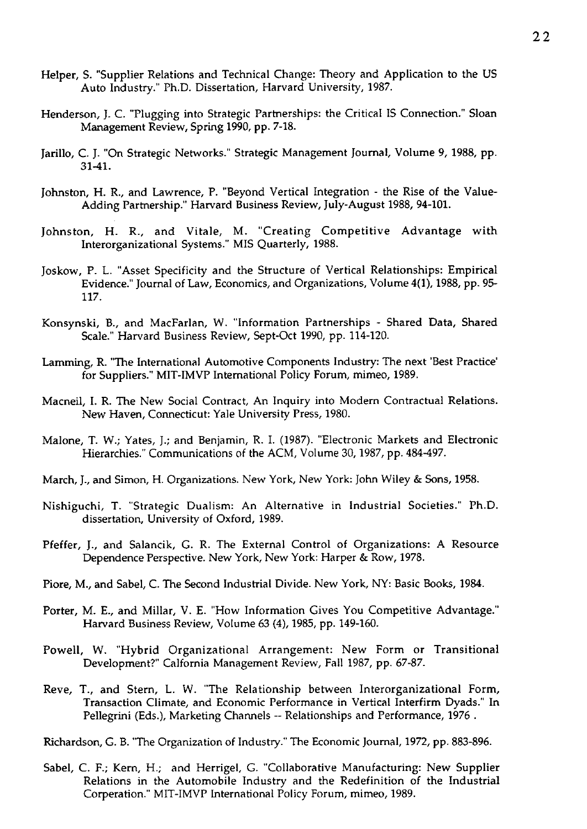- Helper, S. "Supplier Relations and Technical Change: Theory and Application to the US Auto Industry." Ph.D. Dissertation, Harvard University, 1987.
- Henderson, J. C. "Plugging into Strategic Partnerships: the Critical IS Connection." Sloan Management Review, Spring 1990, pp. 7-18.
- Jarillo, C. J. "On Strategic Networks." Strategic Management Journal, Volume 9, 1988, pp. 31-41.
- Johnston, H. R., and Lawrence, P. "Beyond Vertical Integration the Rise of the Value-Adding Partnership." Harvard Business Review, July-August 1988, 94-101.
- Johns ton, H. R., and Vitale, M. "Creating Competitive Advantage with Interorganizational Systems." MIS Quarterly, 1988.
- Joskow, P. L. "Asset Specificity and the Structure of Vertical Relationships: Empirical Evidence." Journal of Law, Economics, and Organizations, Volume 4(1), 1988, pp. 95- 117.
- Konsynski, B., and MacFarlan, W. "Information Partnerships Shared Data, Shared Scale." Harvard Business Review, Sept-Oct 1990, pp. 114-120.
- Lamming, R. "The International Automotive Components Industry: The next 'Best Practice for Suppliers." MIT-IMVP International Policy Forum, mimeo, 1989.
- Macneil, I. R. The New Social Contract, An Inquiry into Modem Contractual Relations. New Haven, Connecticut: Yale University Press, 1980.
- Malone, T. W.; Yates, J.; and Benjamin, R. I. (1987). "Electronic Markets and Electronic Hierarchies." Communications of the ACM, Volume 30, 1987, pp. 484-497.
- March, J., and Simon, H. Organizations. New York, New York: John Wiley & Sons, 1958.
- Nishiguchi, T. "Strategic Dualism: An Alternative in Industrial Societies." Ph.D. dissertation, University of Oxford, 1989.
- Pfeffer, J., and Salancik, G. R. The External Control of Organizations: A Resource Dependence Perspective. New York, New York: Harper & Row, 1978.
- Piore, M., and Sabel, C. The Second Industrial Divide. New York, NY: Basic Books, 1984.
- Porter, M. E., and Millar, V. E. "How Information Gives You Competitive Advantage." Harvard Business Review, Volume 63 (4), 1985, pp. 149-160.
- Powell, W. "Hybrid Organizational Arrangement: New Form or Transitional Development?" Calfornia Management Review, Fall 1987, pp. 67-87.
- Reve, T., and Stem, L. W. "The Relationship between Interorganizational Form, Transaction Climate, and Economic Performance in Vertical Interfirm Dyads." In Pellegrini (Eds.), Marketing Channels -- Relationships and Performance, 1976.

Richardson, G. B. "The Organization of Industry." The Economic Journal, 1972, pp. 883-896.

Sabel, C. F.; Kem, H.; and Herrigel, G. "Collaborative Manufacturing: New Supplier Relations in the Automobile Industry and the Redefinition of the Industrial Corperation." MIT-IMVP International Policy Forum, mimeo, 1989.